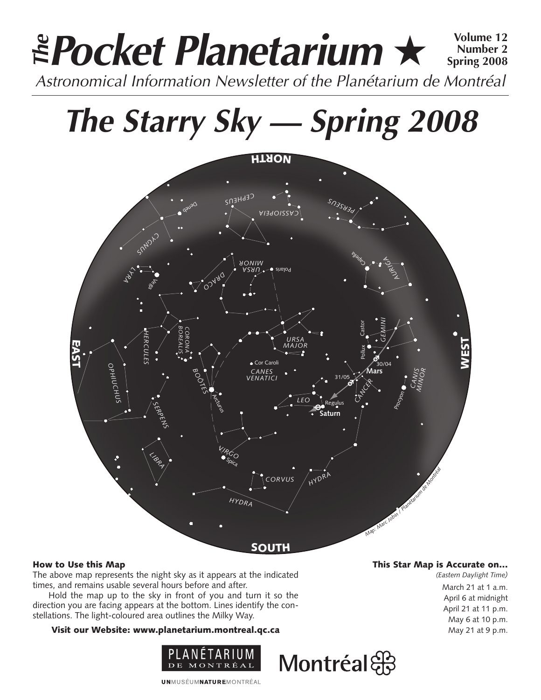## **Pocket Planetarium** ★ **Volume 12** Astronomical Information Newsletter of the Planétarium de Montréal **The Number 2 Spring 2008**

# **The Starry Sky — Spring 2008**



### How to Use this Map

The above map represents the night sky as it appears at the indicated times, and remains usable several hours before and after.

Hold the map up to the sky in front of you and turn it so the direction you are facing appears at the bottom. Lines identify the constellations. The light-coloured area outlines the Milky Way.

### Visit our Website: www.planetarium.montreal.qc.ca



#### This Star Map is Accurate on…

*(Eastern Daylight Time)* March 21 at 1 a.m. April 6 at midnight April 21 at 11 p.m. May 6 at 10 p.m. May 21 at 9 p.m.

**UNMUSÉUMNATUREMONTRÉAL** 

## Montréal